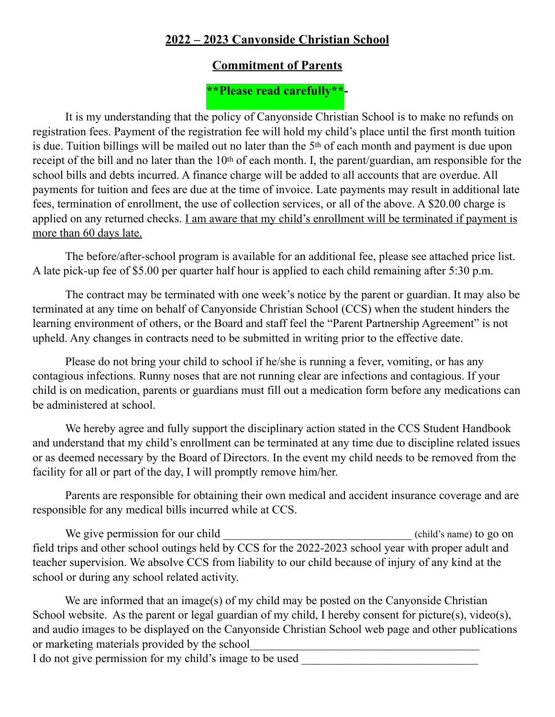## **2022 – 2023 Canyonside Christian School**

## **Commitment of Parents**

## **\*\*Please read carefully\*\*-**

It is my understanding that the policy of Canyonside Christian School is to make no refunds on registration fees. Payment of the registration fee will hold my child's place until the first month tuition is due. Tuition billings will be mailed out no later than the 5th of each month and payment is due upon receipt of the bill and no later than the 10<sup>th</sup> of each month. I, the parent/guardian, am responsible for the school bills and debts incurred. A finance charge will be added to all accounts that are overdue. All payments for tuition and fees are due at the time of invoice. Late payments may result in additional late fees, termination of enrollment, the use of collection services, or all of the above. A \$20.00 charge is applied on any returned checks. I am aware that my child's enrollment will be terminated if payment is more than 60 days late.

The before/after-school program is available for an additional fee, please see attached price list. A late pick-up fee of \$5.00 per quarter half hour is applied to each child remaining after 5:30 p.m.

The contract may be terminated with one week's notice by the parent or guardian. It may also be terminated at any time on behalf of Canyonside Christian School (CCS) when the student hinders the learning environment of others, or the Board and staff feel the "Parent Partnership Agreement" is not upheld. Any changes in contracts need to be submitted in writing prior to the effective date.

Please do not bring your child to school if he/she is running a fever, vomiting, or has any contagious infections. Runny noses that are not running clear are infections and contagious. If your child is on medication, parents or guardians must fill out a medication form before any medications can be administered at school.

We hereby agree and fully support the disciplinary action stated in the CCS Student Handbook and understand that my child's enrollment can be terminated at any time due to discipline related issues or as deemed necessary by the Board of Directors. In the event my child needs to be removed from the facility for all or part of the day, I will promptly remove him/her.

Parents are responsible for obtaining their own medical and accident insurance coverage and are responsible for any medical bills incurred while at CCS.

We give permission for our child \_\_\_\_\_\_\_\_\_\_\_\_\_\_\_\_\_\_\_\_\_\_\_\_\_\_\_\_\_\_\_\_\_(child's name) to go on field trips and other school outings held by CCS for the 2022-2023 school year with proper adult and teacher supervision. We absolve CCS from liability to our child because of injury of any kind at the school or during any school related activity.

We are informed that an image(s) of my child may be posted on the Canyonside Christian School website. As the parent or legal guardian of my child, I hereby consent for picture(s), video(s), and audio images to be displayed on the Canyonside Christian School web page and other publications or marketing materials provided by the school

I do not give permission for my child's image to be used